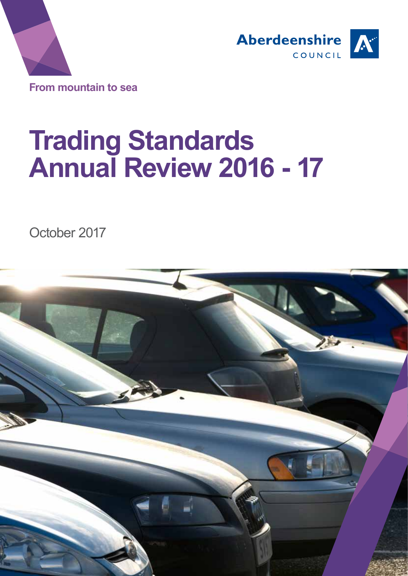



# **Trading Standards Annual Review 2016 - 17**

October 2017

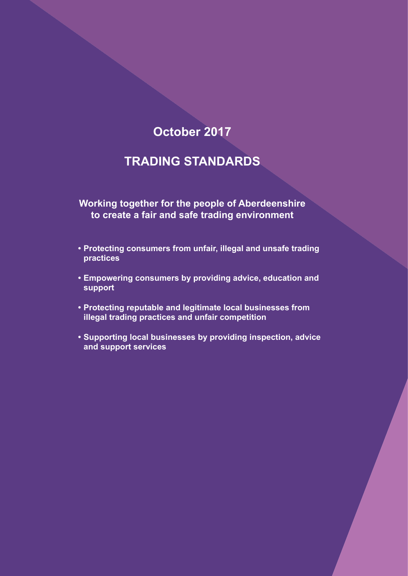# **October 2017**

# **TRADING STANDARDS**

**Working together for the people of Aberdeenshire to create a fair and safe trading environment**

- **• Protecting consumers from unfair, illegal and unsafe trading practices**
- **• Empowering consumers by providing advice, education and support**
- **• Protecting reputable and legitimate local businesses from illegal trading practices and unfair competition**
- **• Supporting local businesses by providing inspection, advice and support services**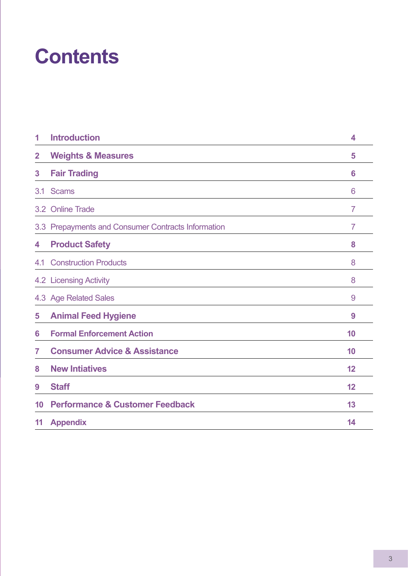# **Contents**

| 1                       | <b>Introduction</b>                                | 4              |
|-------------------------|----------------------------------------------------|----------------|
| $\overline{\mathbf{2}}$ | <b>Weights &amp; Measures</b>                      | 5              |
| 3                       | <b>Fair Trading</b>                                | 6              |
| 3.1                     | <b>Scams</b>                                       | 6              |
|                         | 3.2 Online Trade                                   | $\overline{7}$ |
|                         | 3.3 Prepayments and Consumer Contracts Information | $\overline{7}$ |
| 4                       | <b>Product Safety</b>                              | 8              |
|                         | <b>4.1 Construction Products</b>                   | 8              |
|                         | 4.2 Licensing Activity                             | 8              |
|                         | 4.3 Age Related Sales                              | 9              |
| 5                       | <b>Animal Feed Hygiene</b>                         | 9              |
| 6                       | <b>Formal Enforcement Action</b>                   | 10             |
| 7                       | <b>Consumer Advice &amp; Assistance</b>            | 10             |
| 8                       | <b>New Intiatives</b>                              | 12             |
| 9                       | <b>Staff</b>                                       | 12             |
| 10                      | <b>Performance &amp; Customer Feedback</b>         | 13             |
| 11                      | <b>Appendix</b>                                    | 14             |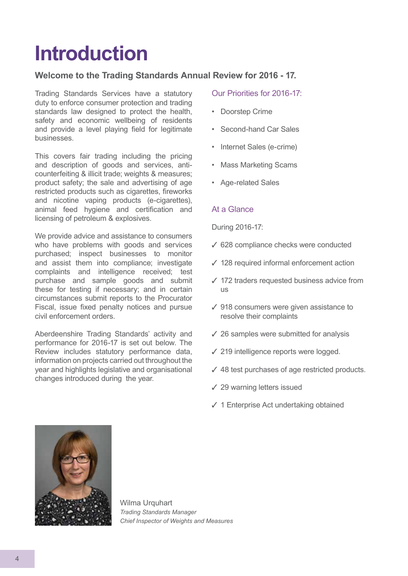# **Introduction**

## **Welcome to the Trading Standards Annual Review for 2016 - 17.**

Trading Standards Services have a statutory duty to enforce consumer protection and trading standards law designed to protect the health, safety and economic wellbeing of residents and provide a level playing field for legitimate businesses.

This covers fair trading including the pricing and description of goods and services, anticounterfeiting & illicit trade; weights & measures; product safety; the sale and advertising of age restricted products such as cigarettes, fireworks and nicotine vaping products (e-cigarettes), animal feed hygiene and certification and licensing of petroleum & explosives.

We provide advice and assistance to consumers who have problems with goods and services purchased; inspect businesses to monitor and assist them into compliance; investigate complaints and intelligence received; test purchase and sample goods and submit these for testing if necessary; and in certain circumstances submit reports to the Procurator Fiscal, issue fixed penalty notices and pursue civil enforcement orders.

Aberdeenshire Trading Standards' activity and performance for 2016-17 is set out below. The Review includes statutory performance data, information on projects carried out throughout the year and highlights legislative and organisational changes introduced during the year.

### Our Priorities for 2016-17:

- Doorstep Crime
- Second-hand Car Sales
- Internet Sales (e-crime)
- Mass Marketing Scams
- Age-related Sales

#### At a Glance

During 2016-17:

- $\checkmark$  628 compliance checks were conducted
- $\checkmark$  128 required informal enforcement action
- $\checkmark$  172 traders requested business advice from us
- $\checkmark$  918 consumers were given assistance to resolve their complaints
- $\sqrt{26}$  samples were submitted for analysis
- $\checkmark$  219 intelligence reports were logged.
- $\checkmark$  48 test purchases of age restricted products.
- $\checkmark$  29 warning letters issued
- $\checkmark$  1 Enterprise Act undertaking obtained



Wilma Urquhart *Trading Standards Manager Chief Inspector of Weights and Measures*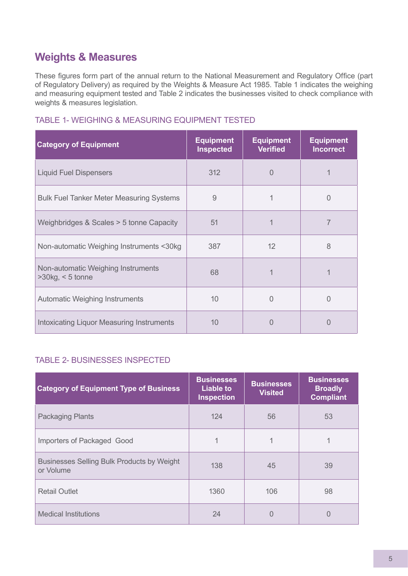## **Weights & Measures**

These figures form part of the annual return to the National Measurement and Regulatory Office (part of Regulatory Delivery) as required by the Weights & Measure Act 1985. Table 1 indicates the weighing and measuring equipment tested and Table 2 indicates the businesses visited to check compliance with weights & measures legislation.

| <b>Category of Equipment</b>                              | <b>Equipment</b><br><b>Inspected</b> | <b>Equipment</b><br><b>Verified</b> | <b>Equipm</b><br>Incorre |
|-----------------------------------------------------------|--------------------------------------|-------------------------------------|--------------------------|
| <b>Liquid Fuel Dispensers</b>                             | 312                                  | $\overline{0}$                      |                          |
| <b>Bulk Fuel Tanker Meter Measuring Systems</b>           | 9                                    |                                     | $\Omega$                 |
| Weighbridges & Scales > 5 tonne Capacity                  | 51                                   | 1                                   |                          |
| Non-automatic Weighing Instruments <30kg                  | 387                                  | 12                                  | 8                        |
| Non-automatic Weighing Instruments<br>$>30$ kg, < 5 tonne | 68                                   |                                     |                          |
| <b>Automatic Weighing Instruments</b>                     | 10                                   | $\Omega$                            | $\Omega$                 |
| <b>Intoxicating Liquor Measuring Instruments</b>          | 10                                   | 0                                   | $\Omega$                 |

## TABLE 1- WEIGHING & MEASURING EQUIPMENT TESTED

#### TABLE 2- BUSINESSES INSPECTED

| <b>Category of Equipment Type of Business</b>                  | <b>Businesses</b><br>Liable to<br><b>Inspection</b> | <b>Businesses</b><br><b>Visited</b> | <b>Businesses</b><br><b>Broadly</b><br><b>Compliant</b> |
|----------------------------------------------------------------|-----------------------------------------------------|-------------------------------------|---------------------------------------------------------|
| <b>Packaging Plants</b>                                        | 124                                                 | 56                                  | 53                                                      |
| Importers of Packaged Good                                     | 1                                                   | 1                                   |                                                         |
| <b>Businesses Selling Bulk Products by Weight</b><br>or Volume | 138                                                 | 45                                  | 39                                                      |
| <b>Retail Outlet</b>                                           | 1360                                                | 106                                 | 98                                                      |
| <b>Medical Institutions</b>                                    | 24                                                  | 0                                   | 0                                                       |

**Ent I**ct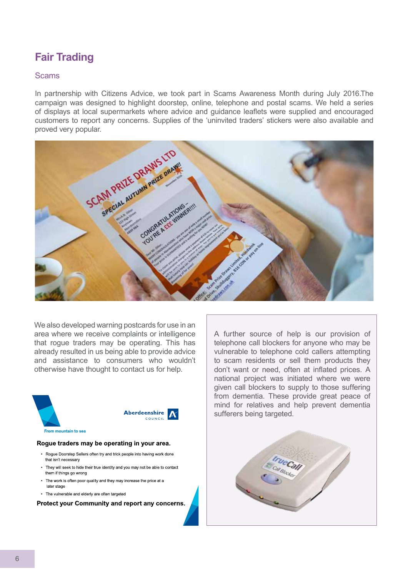## **Fair Trading**

#### **Scams**

In partnership with Citizens Advice, we took part in Scams Awareness Month during July 2016.The campaign was designed to highlight doorstep, online, telephone and postal scams. We held a series of displays at local supermarkets where advice and guidance leaflets were supplied and encouraged customers to report any concerns. Supplies of the 'uninvited traders' stickers were also available and proved very popular.



We also developed warning postcards for use in an area where we receive complaints or intelligence that rogue traders may be operating. This has already resulted in us being able to provide advice and assistance to consumers who wouldn't otherwise have thought to contact us for help.



#### Rogue traders may be operating in your area.

- Roque Doorstep Sellers often try and trick people into having work done that isn't necessary
- They will seek to hide their true identity and you may not be able to contact them if things go wrong
- The work is often poor quality and they may increase the price at a later stage
- The vulnerable and elderly are often targeted

Protect your Community and report any concerns.

A further source of help is our provision of telephone call blockers for anyone who may be vulnerable to telephone cold callers attempting to scam residents or sell them products they don't want or need, often at inflated prices. A national project was initiated where we were given call blockers to supply to those suffering from dementia. These provide great peace of mind for relatives and help prevent dementia sufferers being targeted.

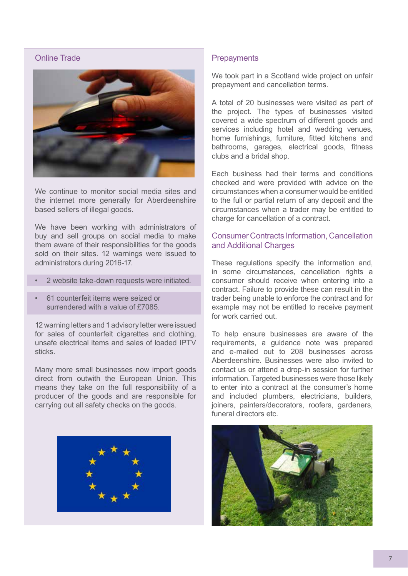### Online Trade



We continue to monitor social media sites and the internet more generally for Aberdeenshire based sellers of illegal goods.

We have been working with administrators of buy and sell groups on social media to make them aware of their responsibilities for the goods sold on their sites. 12 warnings were issued to administrators during 2016-17.

- 2 website take-down requests were initiated.
- 61 counterfeit items were seized or surrendered with a value of £7085.

12 warning letters and 1 advisory letter were issued for sales of counterfeit cigarettes and clothing. unsafe electrical items and sales of loaded IPTV sticks.

Many more small businesses now import goods direct from outwith the European Union. This means they take on the full responsibility of a producer of the goods and are responsible for carrying out all safety checks on the goods.



#### **Prepayments**

We took part in a Scotland wide project on unfair prepayment and cancellation terms.

A total of 20 businesses were visited as part of the project. The types of businesses visited covered a wide spectrum of different goods and services including hotel and wedding venues, home furnishings, furniture, fitted kitchens and bathrooms, garages, electrical goods, fitness clubs and a bridal shop.

Each business had their terms and conditions checked and were provided with advice on the circumstances when a consumer would be entitled to the full or partial return of any deposit and the circumstances when a trader may be entitled to charge for cancellation of a contract.

#### Consumer Contracts Information, Cancellation and Additional Charges

These regulations specify the information and, in some circumstances, cancellation rights a consumer should receive when entering into a contract. Failure to provide these can result in the trader being unable to enforce the contract and for example may not be entitled to receive payment for work carried out.

To help ensure businesses are aware of the requirements, a guidance note was prepared and e-mailed out to 208 businesses across Aberdeenshire. Businesses were also invited to contact us or attend a drop-in session for further information. Targeted businesses were those likely to enter into a contract at the consumer's home and included plumbers, electricians, builders, joiners, painters/decorators, roofers, gardeners, funeral directors etc.

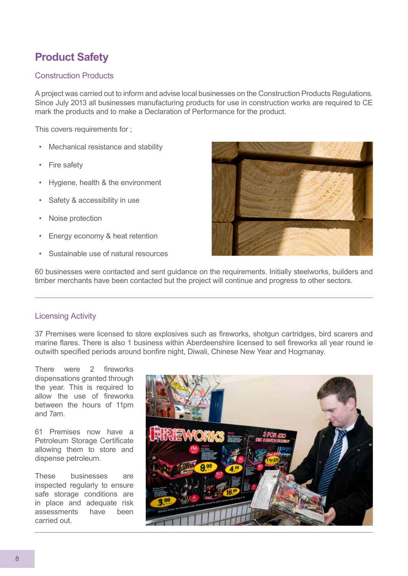# **Product Safety**

### Construction Products

A project was carried out to inform and advise local businesses on the Construction Products Regulations. Since July 2013 all businesses manufacturing products for use in construction works are required to CE mark the products and to make a Declaration of Performance for the product.

This covers requirements for ;

- Mechanical resistance and stability
- **Fire safety**
- Hygiene, health & the environment
- Safety & accessibility in use
- Noise protection
- Energy economy & heat retention
- Sustainable use of natural resources



60 businesses were contacted and sent guidance on the requirements. Initially steelworks, builders and timber merchants have been contacted but the project will continue and progress to other sectors.

#### Licensing Activity

37 Premises were licensed to store explosives such as fireworks, shotgun cartridges, bird scarers and marine flares. There is also 1 business within Aberdeenshire licensed to sell fireworks all year round ie outwith specified periods around bonfire night, Diwali, Chinese New Year and Hogmanay.

There were 2 fireworks dispensations granted through the year. This is required to allow the use of fireworks between the hours of 11pm and 7am.

61 Premises now have a Petroleum Storage Certificate allowing them to store and dispense petroleum.

These businesses are inspected regularly to ensure safe storage conditions are in place and adequate risk assessments have been carried out.

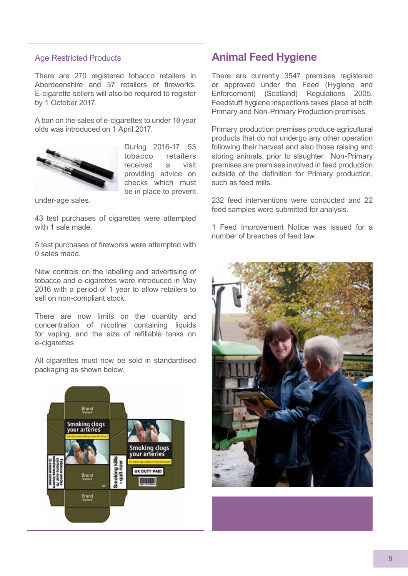#### Age Restricted Products

There are 270 registered tobacco retailers in Aberdeenshire and 37 retailers of fireworks. E-cigarette sellers will also be required to register by 1 October 2017.

A ban on the sales of e-cigarettes to under 18 year olds was introduced on 1 April 2017.



During 2016-17, 53 tobacco retailers received a visit providing advice on checks which must be in place to prevent

under-age sales.

43 test purchases of cigarettes were attempted with 1 sale made.

5 test purchases of fireworks were attempted with 0 sales made.

New controls on the labelling and advertising of tobacco and e-cigarettes were introduced in May 2016 with a period of 1 year to allow retailers to sell on non-compliant stock.

There are now limits on the quantity and concentration of nicotine containing liquids for vaping, and the size of refillable tanks on e-cigarettes

All cigarettes must now be sold in standardised packaging as shown below.



## **Animal Feed Hygiene**

There are currently 3547 premises registered or approved under the Feed (Hygiene and Enforcement) (Scotland) Regulations 2005. Feedstuff hygiene inspections takes place at both Primary and Non-Primary Production premises.

Primary production premises produce agricultural products that do not undergo any other operation following their harvest and also those raising and storing animals, prior to slaughter. Non-Primary premises are premises involved in feed production outside of the definition for Primary production, such as feed mills.

232 feed interventions were conducted and 22 feed samples were submitted for analysis.

1 Feed Improvement Notice was issued for a number of breaches of feed law.

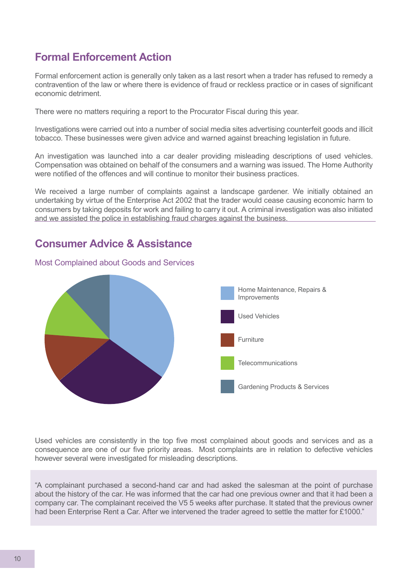## **Formal Enforcement Action**

Formal enforcement action is generally only taken as a last resort when a trader has refused to remedy a contravention of the law or where there is evidence of fraud or reckless practice or in cases of significant economic detriment.

There were no matters requiring a report to the Procurator Fiscal during this year.

Investigations were carried out into a number of social media sites advertising counterfeit goods and illicit tobacco. These businesses were given advice and warned against breaching legislation in future.

An investigation was launched into a car dealer providing misleading descriptions of used vehicles. Compensation was obtained on behalf of the consumers and a warning was issued. The Home Authority were notified of the offences and will continue to monitor their business practices.

We received a large number of complaints against a landscape gardener. We initially obtained an undertaking by virtue of the Enterprise Act 2002 that the trader would cease causing economic harm to consumers by taking deposits for work and failing to carry it out. A criminal investigation was also initiated and we assisted the police in establishing fraud charges against the business.

## **Consumer Advice & Assistance**

Most Complained about Goods and Services



Used vehicles are consistently in the top five most complained about goods and services and as a consequence are one of our five priority areas. Most complaints are in relation to defective vehicles however several were investigated for misleading descriptions.

"A complainant purchased a second-hand car and had asked the salesman at the point of purchase about the history of the car. He was informed that the car had one previous owner and that it had been a company car. The complainant received the V5 5 weeks after purchase. It stated that the previous owner had been Enterprise Rent a Car. After we intervened the trader agreed to settle the matter for £1000."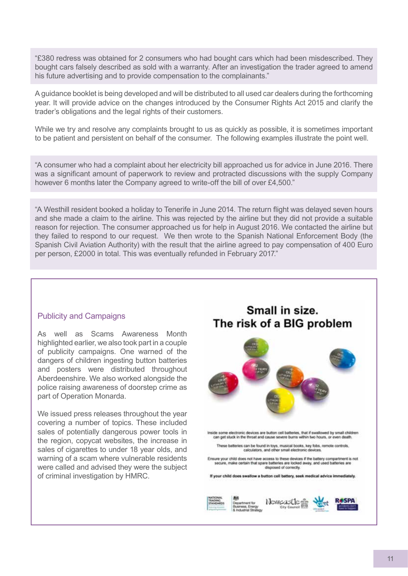"£380 redress was obtained for 2 consumers who had bought cars which had been misdescribed. They bought cars falsely described as sold with a warranty. After an investigation the trader agreed to amend his future advertising and to provide compensation to the complainants."

A guidance booklet is being developed and will be distributed to all used car dealers during the forthcoming year. It will provide advice on the changes introduced by the Consumer Rights Act 2015 and clarify the trader's obligations and the legal rights of their customers.

While we try and resolve any complaints brought to us as quickly as possible, it is sometimes important to be patient and persistent on behalf of the consumer. The following examples illustrate the point well.

"A consumer who had a complaint about her electricity bill approached us for advice in June 2016. There was a significant amount of paperwork to review and protracted discussions with the supply Company however 6 months later the Company agreed to write-off the bill of over £4,500."

"A Westhill resident booked a holiday to Tenerife in June 2014. The return flight was delayed seven hours and she made a claim to the airline. This was rejected by the airline but they did not provide a suitable reason for rejection. The consumer approached us for help in August 2016. We contacted the airline but they failed to respond to our request. We then wrote to the Spanish National Enforcement Body (the Spanish Civil Aviation Authority) with the result that the airline agreed to pay compensation of 400 Euro per person, £2000 in total. This was eventually refunded in February 2017."

#### Publicity and Campaigns

As well as Scams Awareness Month highlighted earlier, we also took part in a couple of publicity campaigns. One warned of the dangers of children ingesting button batteries and posters were distributed throughout Aberdeenshire. We also worked alongside the police raising awareness of doorstep crime as part of Operation Monarda.

We issued press releases throughout the year covering a number of topics. These included sales of potentially dangerous power tools in the region, copycat websites, the increase in sales of cigarettes to under 18 year olds, and warning of a scam where vulnerable residents were called and advised they were the subject of criminal investigation by HMRC.

## Small in size. The risk of a BIG problem

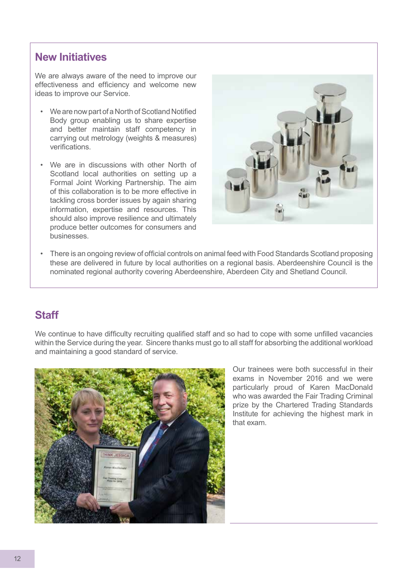## **New Initiatives**

We are always aware of the need to improve our effectiveness and efficiency and welcome new ideas to improve our Service.

- We are now part of a North of Scotland Notified Body group enabling us to share expertise and better maintain staff competency in carrying out metrology (weights & measures) verifications.
- We are in discussions with other North of Scotland local authorities on setting up a Formal Joint Working Partnership. The aim of this collaboration is to be more effective in tackling cross border issues by again sharing information, expertise and resources. This should also improve resilience and ultimately produce better outcomes for consumers and businesses.



• There is an ongoing review of official controls on animal feed with Food Standards Scotland proposing these are delivered in future by local authorities on a regional basis. Aberdeenshire Council is the nominated regional authority covering Aberdeenshire, Aberdeen City and Shetland Council.

## **Staff**

We continue to have difficulty recruiting qualified staff and so had to cope with some unfilled vacancies within the Service during the year. Sincere thanks must go to all staff for absorbing the additional workload and maintaining a good standard of service.



Our trainees were both successful in their exams in November 2016 and we were particularly proud of Karen MacDonald who was awarded the Fair Trading Criminal prize by the Chartered Trading Standards Institute for achieving the highest mark in that exam.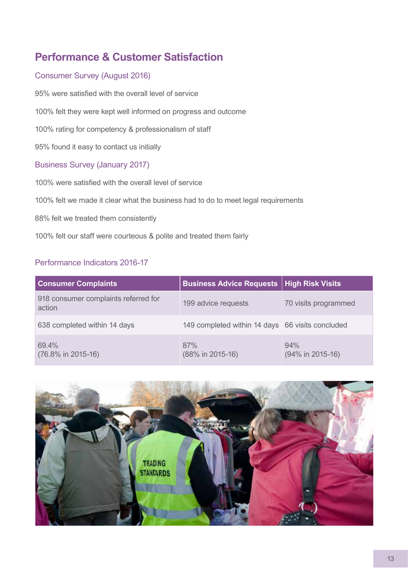# **Performance & Customer Satisfaction**

## Consumer Survey (August 2016)

95% were satisfied with the overall level of service 100% felt they were kept well informed on progress and outcome 100% rating for competency & professionalism of staff 95% found it easy to contact us initially Business Survey (January 2017) 100% were satisfied with the overall level of service

100% felt we made it clear what the business had to do to meet legal requirements

88% felt we treated them consistently

100% felt our staff were courteous & polite and treated them fairly

## Performance Indicators 2016-17

| <b>Consumer Complaints</b>                     | <b>Business Advice Requests   High Risk Visits</b> |                         |  |
|------------------------------------------------|----------------------------------------------------|-------------------------|--|
| 918 consumer complaints referred for<br>action | 199 advice requests                                | 70 visits programmed    |  |
| 638 completed within 14 days                   | 149 completed within 14 days 66 visits concluded   |                         |  |
| 69.4%<br>(76.8% in 2015-16)                    | 87%<br>(88% in 2015-16)                            | 94%<br>(94% in 2015-16) |  |

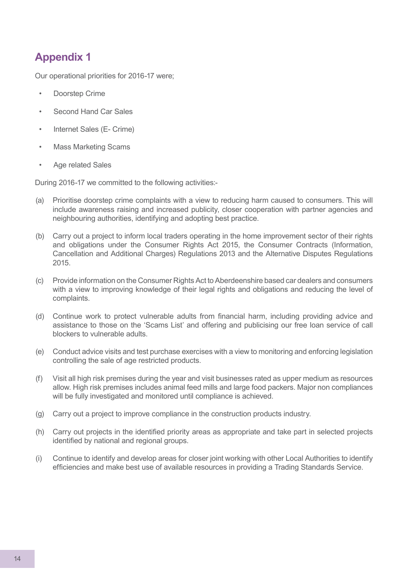## **Appendix 1**

Our operational priorities for 2016-17 were;

- Doorstep Crime
- Second Hand Car Sales
- Internet Sales (E- Crime)
- Mass Marketing Scams
- Age related Sales

During 2016-17 we committed to the following activities:-

- (a) Prioritise doorstep crime complaints with a view to reducing harm caused to consumers. This will include awareness raising and increased publicity, closer cooperation with partner agencies and neighbouring authorities, identifying and adopting best practice.
- (b) Carry out a project to inform local traders operating in the home improvement sector of their rights and obligations under the Consumer Rights Act 2015, the Consumer Contracts (Information, Cancellation and Additional Charges) Regulations 2013 and the Alternative Disputes Regulations 2015.
- (c) Provide information on the Consumer Rights Act to Aberdeenshire based car dealers and consumers with a view to improving knowledge of their legal rights and obligations and reducing the level of complaints.
- (d) Continue work to protect vulnerable adults from financial harm, including providing advice and assistance to those on the 'Scams List' and offering and publicising our free loan service of call blockers to vulnerable adults.
- (e) Conduct advice visits and test purchase exercises with a view to monitoring and enforcing legislation controlling the sale of age restricted products.
- (f) Visit all high risk premises during the year and visit businesses rated as upper medium as resources allow. High risk premises includes animal feed mills and large food packers. Major non compliances will be fully investigated and monitored until compliance is achieved.
- (g) Carry out a project to improve compliance in the construction products industry.
- (h) Carry out projects in the identified priority areas as appropriate and take part in selected projects identified by national and regional groups.
- (i) Continue to identify and develop areas for closer joint working with other Local Authorities to identify efficiencies and make best use of available resources in providing a Trading Standards Service.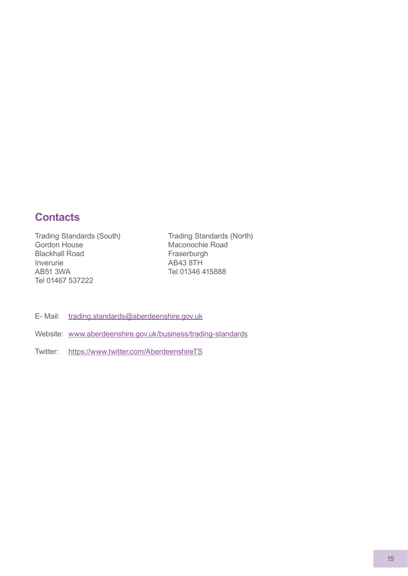## **Contacts**

Trading Standards (South) Gordon House Blackhall Road Inverurie AB51 3WA Tel 01467 537222

Trading Standards (North) Maconochie Road **Fraserburgh** AB43 8TH Tel 01346 415888

- E- Mail: trading.standards@aberdeenshire.gov.uk
- Website: www.aberdeenshire.gov.uk/business/trading-standards
- Twitter: https://www.twitter.com/AberdeenshireTS